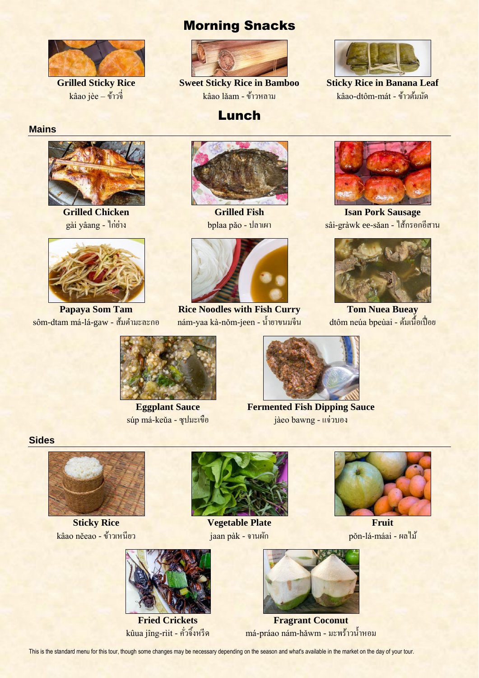

**Grilled Sticky Rice** kâao jèe – ข้าวจี่

# Morning Snacks



**Sweet Sticky Rice in Bamboo** kâao lǎam -ข้าวหลาม

Lunch

**Sticky Rice in Banana Leaf** kâao-dtôm-mát -ข้าวต้มมัด

## **Mains**



**Grilled Chicken** gài yâang - ไก่ย่าง



**Papaya Som Tam**  $s$ ôm-dtam má-lá-gaw - สัมตำมะละกอ



**Grilled Fish** bplaa pǎo - ปลาเผา



**Rice Noodles with Fish Curry** nám-yaa kà-nǒm-jeen - น้า ยาขนมจีน



**Isan Pork Sausage** sâi-gràwk ee-sǎan - ไส้กรอกอีสาน



**Tom Nuea Bueay** dtôm neúa bpeùai - ต้มเนื้อเปื่อย



**Eggplant Sauce** súp má-keǔa - ซุปมะเขือ



**Fermented Fish Dipping Sauce** jàeo bawng - แจ่วบอง

### **Sides**



**Sticky Rice** kâao něeao -ข้าวเหนียว



**Vegetable Plate** jaan pàk - จานผัก



**Fruit** pǒn-lá-máai -ผลไม้



**Fried Crickets** kûua jîng-rìit - คั่วจิ้งหรีด



**Fragrant Coconut** má-práao nám-hǎwm - มะพร้าวน้ำหอม

This is the standard menu for this tour, though some changes may be necessary depending on the season and what's available in the market on the day of your tour.